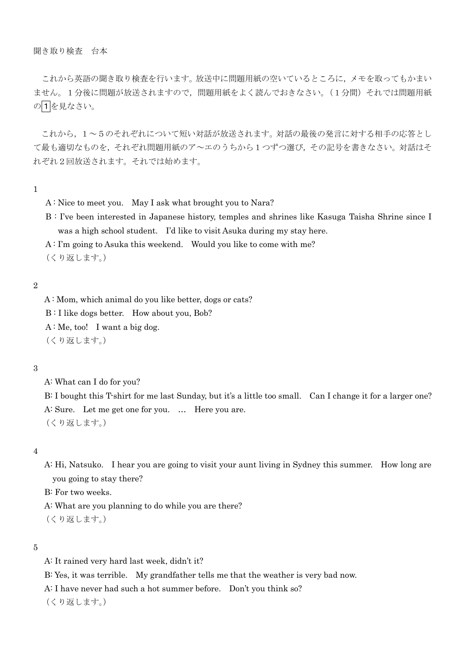# 聞き取り検査 台本

これから英語の聞き取り検査を行います。放送中に問題用紙の空いているところに,メモを取ってもかまい ません。1分後に問題が放送されますので,問題用紙をよく読んでおきなさい。(1分間)それでは問題用紙 の1を見なさい。

これから,1~5のそれぞれについて短い対話が放送されます。対話の最後の発言に対する相手の応答とし て最も適切なものを,それぞれ問題用紙のア~エのうちから1つずつ選び,その記号を書きなさい。対話はそ れぞれ2回放送されます。それでは始めます。

# 1

- A : Nice to meet you. May I ask what brought you to Nara?
- B : I've been interested in Japanese history, temples and shrines like Kasuga Taisha Shrine since I was a high school student. I'd like to visit Asuka during my stay here.

A : I'm going to Asuka this weekend. Would you like to come with me?

(くり返します。)

# 2

A : Mom, which animal do you like better, dogs or cats?

B : I like dogs better. How about you, Bob?

 $A:$  Me, too! I want a big dog.

(くり返します。)

### 3

A: What can I do for you?

B: I bought this T-shirt for me last Sunday, but it's a little too small. Can I change it for a larger one? A: Sure. Let me get one for you. … Here you are. (くり返します。)

### 4

A: Hi, Natsuko. I hear you are going to visit your aunt living in Sydney this summer. How long are you going to stay there?

B: For two weeks.

A: What are you planning to do while you are there?

(くり返します。)

### 5

A: It rained very hard last week, didn't it?

B: Yes, it was terrible. My grandfather tells me that the weather is very bad now.

A: I have never had such a hot summer before. Don't you think so?

(くり返します。)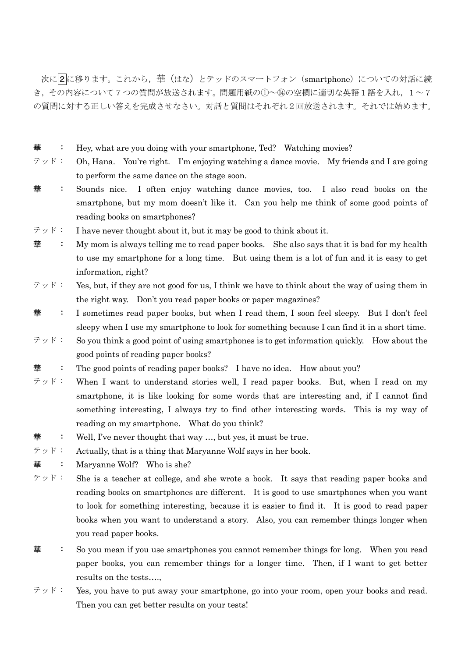次に2に移ります。これから、華(はな)とテッドのスマートフォン (smartphone)についての対話に続 き,その内容について7つの質問が放送されます。問題用紙の①~⑭の空欄に適切な英語1語を入れ,1~7 の質問に対する正しい答えを完成させなさい。対話と質問はそれぞれ2回放送されます。それでは始めます。

- : Hey, what are you doing with your smartphone, Ted? Watching movies?
- テッド : Oh, Hana. You're right. I'm enjoying watching a dance movie. My friends and I are going to perform the same dance on the stage soon.
- **華 :** Sounds nice. I often enjoy watching dance movies, too. I also read books on the smartphone, but my mom doesn't like it. Can you help me think of some good points of reading books on smartphones?
- $\forall \forall \mathbf{F}$ : I have never thought about it, but it may be good to think about it.
- 華 : My mom is always telling me to read paper books. She also says that it is bad for my health to use my smartphone for a long time. But using them is a lot of fun and it is easy to get information, right?
- テッド : Yes, but, if they are not good for us, I think we have to think about the way of using them in the right way. Don't you read paper books or paper magazines?
- **華** : I sometimes read paper books, but when I read them, I soon feel sleepy. But I don't feel sleepy when I use my smartphone to look for something because I can find it in a short time.
- $\forall \forall \mathbf{F}$ : So you think a good point of using smartphones is to get information quickly. How about the good points of reading paper books?
- : The good points of reading paper books? I have no idea. How about you?
- テッド : When I want to understand stories well, I read paper books. But, when I read on my smartphone, it is like looking for some words that are interesting and, if I cannot find something interesting, I always try to find other interesting words. This is my way of reading on my smartphone. What do you think?
- : Well, I've never thought that way ..., but yes, it must be true.
- テッド : Actually, that is a thing that Maryanne Wolf says in her book.
- : Maryanne Wolf? Who is she?
- テッド : She is a teacher at college, and she wrote a book. It says that reading paper books and reading books on smartphones are different. It is good to use smartphones when you want to look for something interesting, because it is easier to find it. It is good to read paper books when you want to understand a story. Also, you can remember things longer when you read paper books.
- **華** : So you mean if you use smartphones you cannot remember things for long. When you read paper books, you can remember things for a longer time. Then, if I want to get better results on the tests….,
- テッド : Yes, you have to put away your smartphone, go into your room, open your books and read. Then you can get better results on your tests!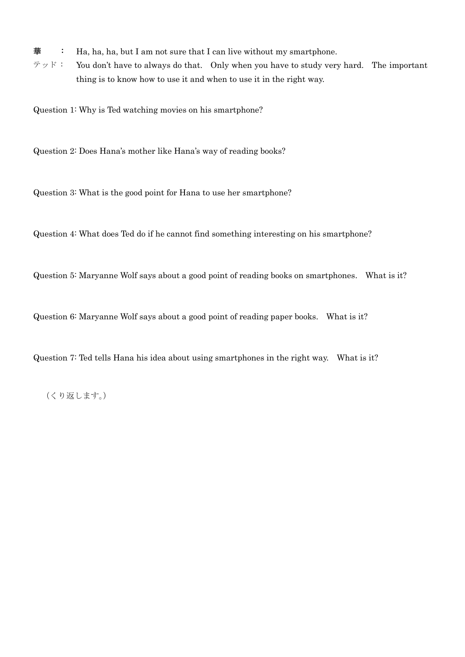**華** : Ha, ha, ha, but I am not sure that I can live without my smartphone.

テッド : You don't have to always do that. Only when you have to study very hard. The important thing is to know how to use it and when to use it in the right way.

Question 1: Why is Ted watching movies on his smartphone?

Question 2: Does Hana's mother like Hana's way of reading books?

Question 3: What is the good point for Hana to use her smartphone?

Question 4: What does Ted do if he cannot find something interesting on his smartphone?

Question 5: Maryanne Wolf says about a good point of reading books on smartphones. What is it?

Question 6: Maryanne Wolf says about a good point of reading paper books. What is it?

Question 7: Ted tells Hana his idea about using smartphones in the right way. What is it?

(くり返します。)